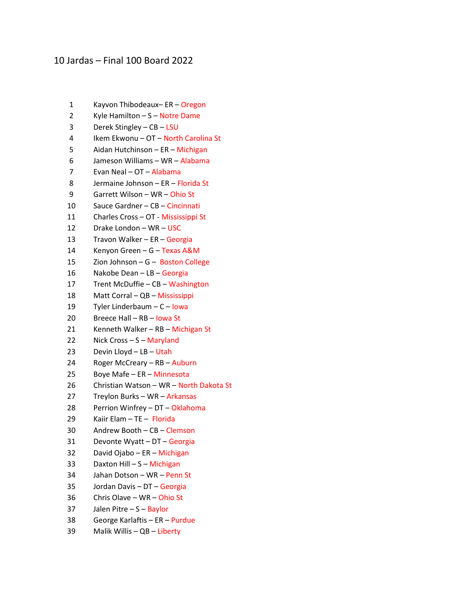## 10 Jardas – Final 100 Board 2022

- 1 Kayvon Thibodeaux– ER Oregon
- 2 Kyle Hamilton S Notre Dame
- 3 Derek Stingley CB LSU
- 4 Ikem Ekwonu OT North Carolina St
- 5 Aidan Hutchinson ER Michigan
- 6 Jameson Williams WR Alabama
- 7 Evan Neal OT Alabama
- 8 Jermaine Johnson ER Florida St
- 9 Garrett Wilson WR Ohio St
- 10 Sauce Gardner CB Cincinnati
- 11 Charles Cross OT Mississippi St
- 12 Drake London WR USC
- 13 Travon Walker ER Georgia
- 14 Kenyon Green G Texas A&M
- 15 Zion Johnson G Boston College
- 16 Nakobe Dean LB Georgia
- 17 Trent McDuffie CB Washington
- 18 Matt Corral QB Mississippi
- 19 Tyler Linderbaum C Iowa
- 20 Breece Hall RB Iowa St
- 21 Kenneth Walker RB Michigan St
- 22 Nick Cross S Maryland
- 23 Devin Lloyd LB Utah
- 24 Roger McCreary RB Auburn
- 25 Boye Mafe ER Minnesota
- 26 Christian Watson WR North Dakota St
- 27 Treylon Burks WR Arkansas
- 28 Perrion Winfrey DT Oklahoma
- 29 Kaiir Elam TE Florida
- 30 Andrew Booth CB Clemson
- 31 Devonte Wyatt DT Georgia
- 32 David Ojabo ER Michigan
- 33 Daxton Hill S Michigan
- 34 Jahan Dotson WR Penn St
- 35 Jordan Davis DT Georgia
- 36 Chris Olave WR Ohio St
- 37 Jalen Pitre S Baylor
- 38 George Karlaftis ER Purdue
- 39 Malik Willis QB Liberty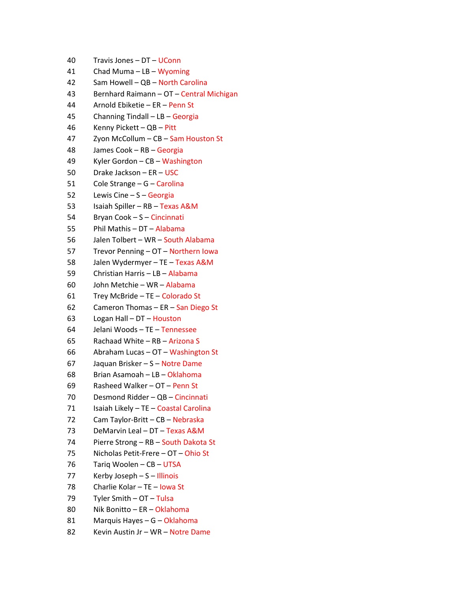- 40 Travis Jones DT UConn
- 41 Chad Muma LB Wyoming
- 42 Sam Howell QB North Carolina
- 43 Bernhard Raimann OT Central Michigan
- 44 Arnold Ebiketie ER Penn St
- 45 Channing Tindall LB Georgia
- 46 Kenny Pickett QB Pitt
- 47 Zyon McCollum CB Sam Houston St
- 48 James Cook RB Georgia
- 49 Kyler Gordon CB Washington
- 50 Drake Jackson ER USC
- 51 Cole Strange G Carolina
- 52 Lewis Cine S Georgia
- 53 Isaiah Spiller RB Texas A&M
- 54 Bryan Cook S Cincinnati
- 55 Phil Mathis DT Alabama
- 56 Jalen Tolbert WR South Alabama
- 57 Trevor Penning OT Northern Iowa
- 58 Jalen Wydermyer TE Texas A&M
- 59 Christian Harris LB Alabama
- 60 John Metchie WR Alabama
- 61 Trey McBride TE Colorado St
- 62 Cameron Thomas ER San Diego St
- 63 Logan Hall DT Houston
- 64 Jelani Woods TE Tennessee
- 65 Rachaad White RB Arizona S
- 66 Abraham Lucas OT Washington St
- 67 Jaquan Brisker S Notre Dame
- 68 Brian Asamoah LB Oklahoma
- 69 Rasheed Walker OT Penn St
- 70 Desmond Ridder QB Cincinnati
- 71 Isaiah Likely TE Coastal Carolina
- 72 Cam Taylor-Britt CB Nebraska
- 73 DeMarvin Leal DT Texas A&M
- 74 Pierre Strong RB South Dakota St
- 75 Nicholas Petit-Frere OT Ohio St
- 76 Tariq Woolen CB UTSA
- 77 Kerby Joseph S Illinois
- 78 Charlie Kolar TE Iowa St
- 79 Tyler Smith OT Tulsa
- 80 Nik Bonitto ER Oklahoma
- 81 Marquis Hayes G Oklahoma
- 82 Kevin Austin Jr WR Notre Dame